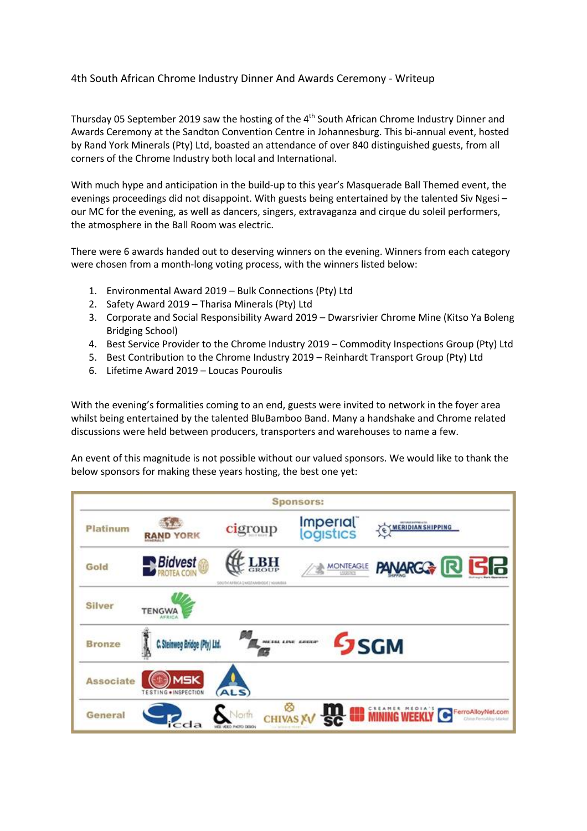## 4th South African Chrome Industry Dinner And Awards Ceremony - Writeup

Thursday 05 September 2019 saw the hosting of the  $4<sup>th</sup>$  South African Chrome Industry Dinner and Awards Ceremony at the Sandton Convention Centre in Johannesburg. This bi-annual event, hosted by Rand York Minerals (Pty) Ltd, boasted an attendance of over 840 distinguished guests, from all corners of the Chrome Industry both local and International.

With much hype and anticipation in the build-up to this year's Masquerade Ball Themed event, the evenings proceedings did not disappoint. With guests being entertained by the talented Siv Ngesi – our MC for the evening, as well as dancers, singers, extravaganza and cirque du soleil performers, the atmosphere in the Ball Room was electric.

There were 6 awards handed out to deserving winners on the evening. Winners from each category were chosen from a month-long voting process, with the winners listed below:

- 1. Environmental Award 2019 Bulk Connections (Pty) Ltd
- 2. Safety Award 2019 Tharisa Minerals (Pty) Ltd
- 3. Corporate and Social Responsibility Award 2019 Dwarsrivier Chrome Mine (Kitso Ya Boleng Bridging School)
- 4. Best Service Provider to the Chrome Industry 2019 Commodity Inspections Group (Pty) Ltd
- 5. Best Contribution to the Chrome Industry 2019 Reinhardt Transport Group (Pty) Ltd
- 6. Lifetime Award 2019 Loucas Pouroulis

With the evening's formalities coming to an end, guests were invited to network in the foyer area whilst being entertained by the talented BluBamboo Band. Many a handshake and Chrome related discussions were held between producers, transporters and warehouses to name a few.

An event of this magnitude is not possible without our valued sponsors. We would like to thank the below sponsors for making these years hosting, the best one yet: